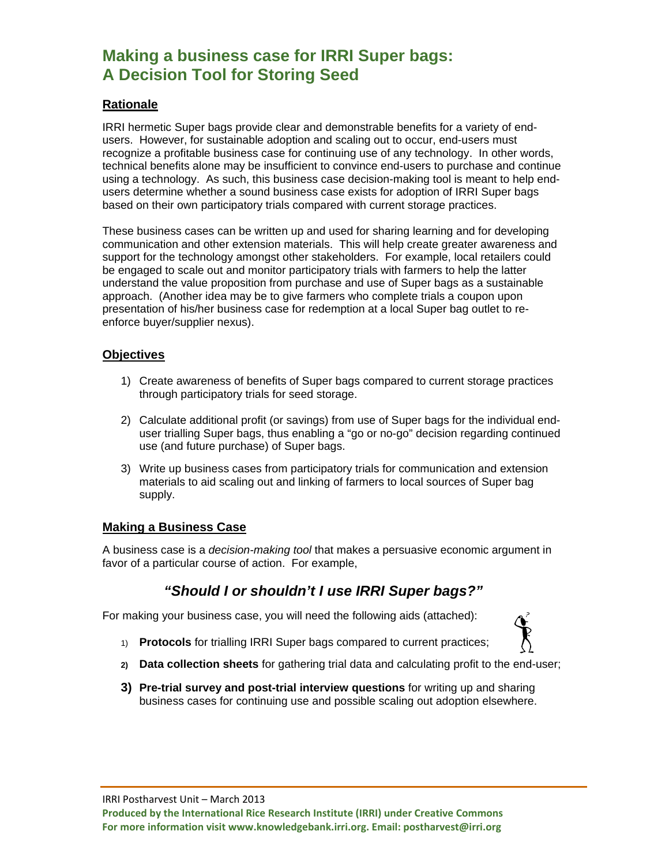# **Making a business case for IRRI Super bags: A Decision Tool for Storing Seed**

### **Rationale**

IRRI hermetic Super bags provide clear and demonstrable benefits for a variety of endusers. However, for sustainable adoption and scaling out to occur, end-users must recognize a profitable business case for continuing use of any technology. In other words, technical benefits alone may be insufficient to convince end-users to purchase and continue using a technology. As such, this business case decision-making tool is meant to help endusers determine whether a sound business case exists for adoption of IRRI Super bags based on their own participatory trials compared with current storage practices.

These business cases can be written up and used for sharing learning and for developing communication and other extension materials. This will help create greater awareness and support for the technology amongst other stakeholders. For example, local retailers could be engaged to scale out and monitor participatory trials with farmers to help the latter understand the value proposition from purchase and use of Super bags as a sustainable approach. (Another idea may be to give farmers who complete trials a coupon upon presentation of his/her business case for redemption at a local Super bag outlet to reenforce buyer/supplier nexus).

#### **Objectives**

- 1) Create awareness of benefits of Super bags compared to current storage practices through participatory trials for seed storage.
- 2) Calculate additional profit (or savings) from use of Super bags for the individual enduser trialling Super bags, thus enabling a "go or no-go" decision regarding continued use (and future purchase) of Super bags.
- 3) Write up business cases from participatory trials for communication and extension materials to aid scaling out and linking of farmers to local sources of Super bag supply.

#### **Making a Business Case**

A business case is a *decision-making tool* that makes a persuasive economic argument in favor of a particular course of action. For example,

## *"Should I or shouldn't I use IRRI Super bags?"*

For making your business case, you will need the following aids (attached):

- 1) **Protocols** for trialling IRRI Super bags compared to current practices;
- **2) Data collection sheets** for gathering trial data and calculating profit to the end-user;
- **3) Pre-trial survey and post-trial interview questions** for writing up and sharing business cases for continuing use and possible scaling out adoption elsewhere.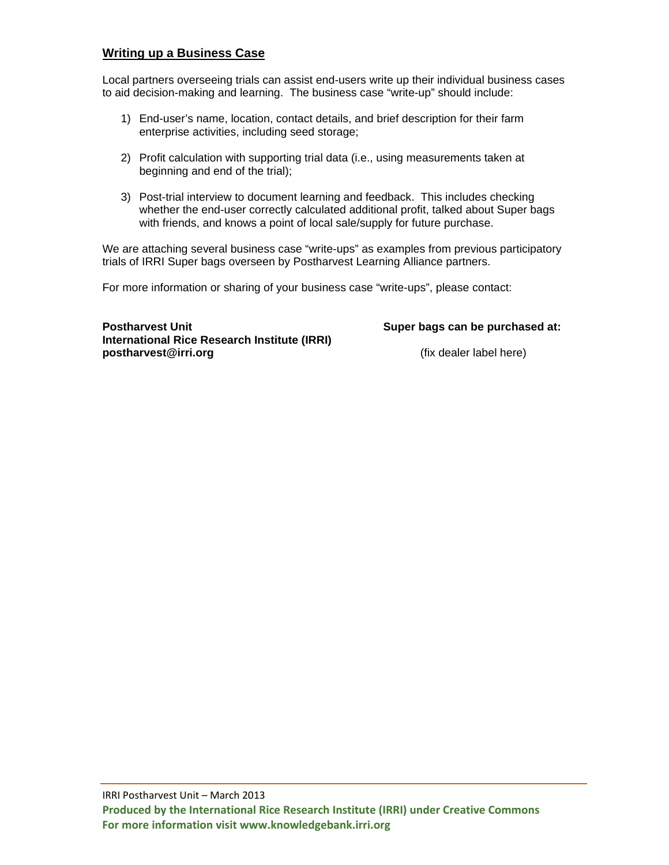#### **Writing up a Business Case**

Local partners overseeing trials can assist end-users write up their individual business cases to aid decision-making and learning. The business case "write-up" should include:

- 1) End-user's name, location, contact details, and brief description for their farm enterprise activities, including seed storage;
- 2) Profit calculation with supporting trial data (i.e., using measurements taken at beginning and end of the trial);
- 3) Post-trial interview to document learning and feedback. This includes checking whether the end-user correctly calculated additional profit, talked about Super bags with friends, and knows a point of local sale/supply for future purchase.

We are attaching several business case "write-ups" as examples from previous participatory trials of IRRI Super bags overseen by Postharvest Learning Alliance partners.

For more information or sharing of your business case "write-ups", please contact:

**Postharvest Unit Super bags can be purchased at: Super bags can be purchased at: International Rice Research Institute (IRRI) postharvest@irri.org blue and the example of the example of the example of the example of the example of the example of the example of the example of the example of the example of the example of the example of the examp**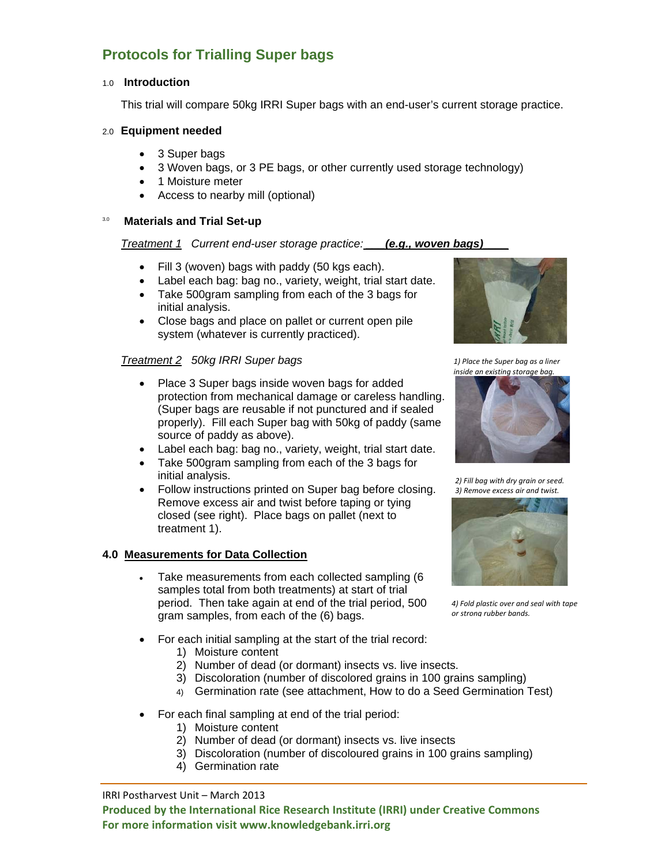# **Protocols for Trialling Super bags**

#### 1.0 **Introduction**

This trial will compare 50kg IRRI Super bags with an end-user's current storage practice.

#### 2.0 **Equipment needed**

- 3 Super bags
- 3 Woven bags, or 3 PE bags, or other currently used storage technology)
- 1 Moisture meter
- Access to nearby mill (optional)

#### 3.0 **Materials and Trial Set-up**

#### *Treatment 1 Current end-user storage practice: \_\_\_(e.g., woven bags)\_\_\_\_*

- Fill 3 (woven) bags with paddy (50 kgs each).
- Label each bag: bag no., variety, weight, trial start date.
- Take 500gram sampling from each of the 3 bags for initial analysis.
- Close bags and place on pallet or current open pile system (whatever is currently practiced).

#### *Treatment 2 50kg IRRI Super bags*

- Place 3 Super bags inside woven bags for added protection from mechanical damage or careless handling. (Super bags are reusable if not punctured and if sealed properly).Fill each Super bag with 50kg of paddy (same source of paddy as above).
- Label each bag: bag no., variety, weight, trial start date.
- Take 500gram sampling from each of the 3 bags for initial analysis.
- Follow instructions printed on Super bag before closing. Remove excess air and twist before taping or tying closed (see right). Place bags on pallet (next to treatment 1).

#### **4.0 Measurements for Data Collection**

- Take measurements from each collected sampling (6 samples total from both treatments) at start of trial period. Then take again at end of the trial period, 500 gram samples, from each of the (6) bags.
- For each initial sampling at the start of the trial record:
	- 1) Moisture content
	- 2) Number of dead (or dormant) insects vs. live insects.
	- 3) Discoloration (number of discolored grains in 100 grains sampling)
	- 4) Germination rate (see attachment, How to do a Seed Germination Test)
- For each final sampling at end of the trial period:
	- 1) Moisture content
	- 2) Number of dead (or dormant) insects vs. live insects
	- 3) Discoloration (number of discoloured grains in 100 grains sampling)
	- 4) Germination rate

IRRI Postharvest Unit – March 2013



*1) Place the Super bag as a liner inside an existing storage bag.*



*2) Fill bag with dry grain or seed. 3) Remove excess air and twist.*



*4) Fold plastic over and seal with tape or strong rubber bands.*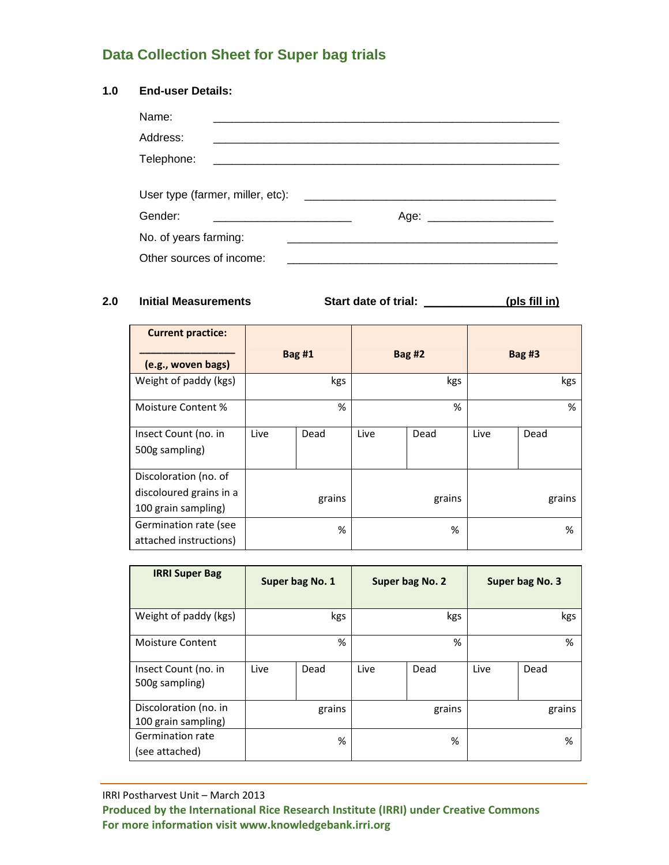# **Data Collection Sheet for Super bag trials**

#### **1.0 End-user Details:**

| Name:                            |  |      |
|----------------------------------|--|------|
| Address:                         |  |      |
| Telephone:                       |  |      |
|                                  |  |      |
|                                  |  |      |
|                                  |  |      |
|                                  |  | Age: |
| Gender:<br>No. of years farming: |  |      |

**2.0 Initial Measurements Start date of trial: \_\_\_\_\_\_\_\_\_\_\_\_\_(pls fill in)**

| <b>Current practice:</b> |               |      |               |      |               |      |
|--------------------------|---------------|------|---------------|------|---------------|------|
| (e.g., woven bags)       | <b>Bag #1</b> |      | <b>Bag #2</b> |      | <b>Bag #3</b> |      |
| Weight of paddy (kgs)    | kgs           |      | kgs           |      | kgs           |      |
| Moisture Content %       | %             |      | %             |      | %             |      |
| Insect Count (no. in     | Live          | Dead | Live          | Dead | Live          | Dead |
| 500g sampling)           |               |      |               |      |               |      |
| Discoloration (no. of    |               |      |               |      |               |      |
| discoloured grains in a  | grains        |      | grains        |      | grains        |      |
| 100 grain sampling)      |               |      |               |      |               |      |
| Germination rate (see    | %             |      | %             |      | %             |      |
| attached instructions)   |               |      |               |      |               |      |

| <b>IRRI Super Bag</b>                        | Super bag No. 1 |      | Super bag No. 2 |      | Super bag No. 3 |      |
|----------------------------------------------|-----------------|------|-----------------|------|-----------------|------|
| Weight of paddy (kgs)                        | kgs             |      | kgs             |      | kgs             |      |
| <b>Moisture Content</b>                      | %               |      | %               |      | %               |      |
| Insect Count (no. in<br>500g sampling)       | Live            | Dead | Live            | Dead | Live            | Dead |
| Discoloration (no. in<br>100 grain sampling) | grains          |      | grains          |      | grains          |      |
| Germination rate<br>(see attached)           | %               |      | %               |      | %               |      |

IRRI Postharvest Unit – March 2013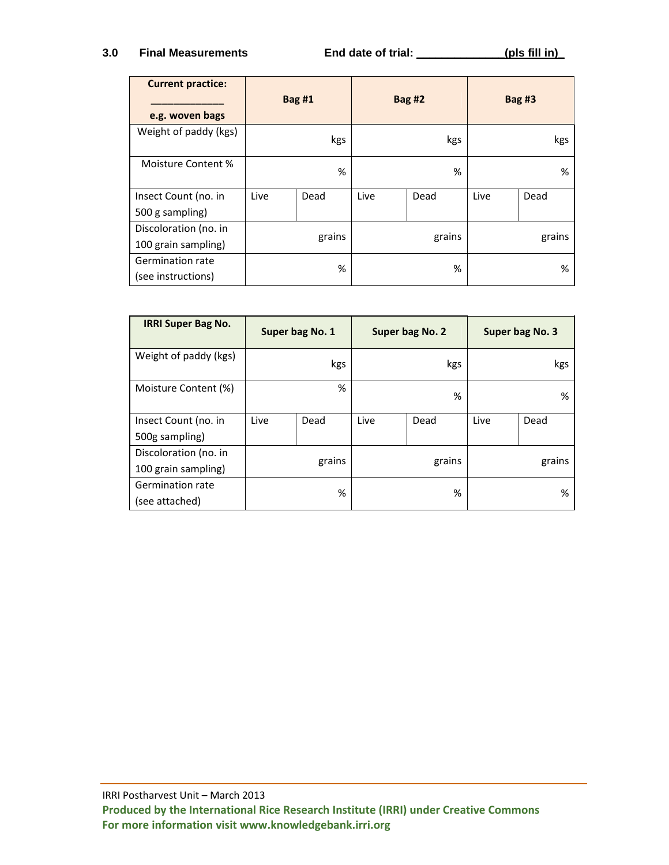#### **3.0 Final Measurements End date of trial: \_\_\_\_\_\_\_\_\_\_\_\_\_\_(pls fill in)\_**

| <b>Current practice:</b><br>e.g. woven bags | <b>Bag #1</b> |      | <b>Bag #2</b> |        | Bag $#3$ |        |
|---------------------------------------------|---------------|------|---------------|--------|----------|--------|
| Weight of paddy (kgs)                       | kgs           |      |               | kgs    |          | kgs    |
| Moisture Content %                          | %             |      | %             |        | %        |        |
| Insect Count (no. in                        | Live          | Dead | Live          | Dead   | Live     | Dead   |
| 500 g sampling)                             |               |      |               |        |          |        |
| Discoloration (no. in                       |               |      |               | grains |          | grains |
| 100 grain sampling)                         | grains        |      |               |        |          |        |
| <b>Germination rate</b>                     | %             |      | %             |        |          | %      |
| (see instructions)                          |               |      |               |        |          |        |

| <b>IRRI Super Bag No.</b> | Super bag No. 1 |      | Super bag No. 2 |        | Super bag No. 3 |        |
|---------------------------|-----------------|------|-----------------|--------|-----------------|--------|
| Weight of paddy (kgs)     | kgs             |      |                 | kgs    |                 | kgs    |
| Moisture Content (%)      | %               |      | %               |        | %               |        |
| Insect Count (no. in      | Live            | Dead | Live            | Dead   | Live            | Dead   |
| 500g sampling)            |                 |      |                 |        |                 |        |
| Discoloration (no. in     |                 |      |                 | grains |                 | grains |
| 100 grain sampling)       | grains          |      |                 |        |                 |        |
| <b>Germination rate</b>   |                 |      |                 | %      |                 | %      |
| (see attached)            |                 | %    |                 |        |                 |        |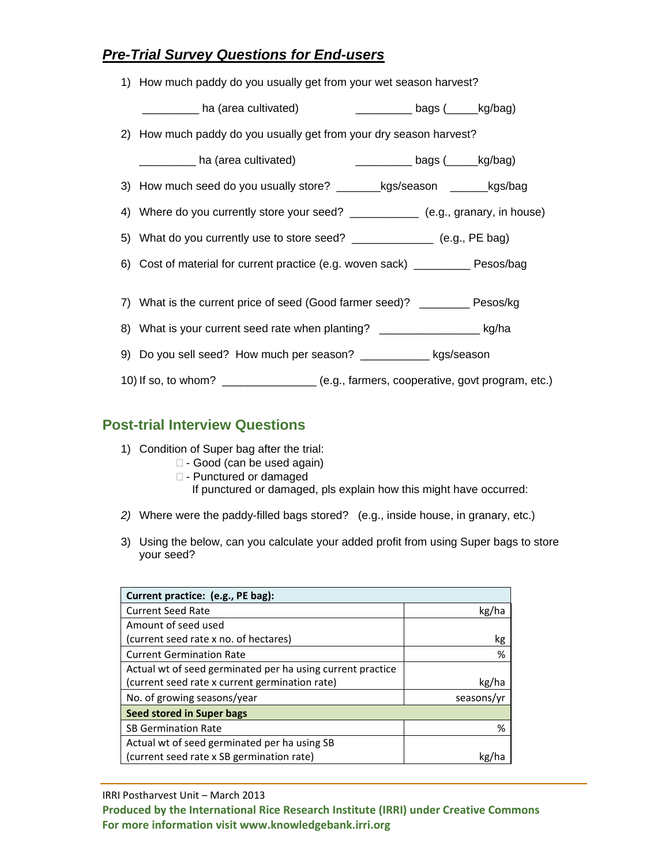# *Pre-Trial Survey Questions for End-users*

| 1) How much paddy do you usually get from your wet season harvest?                  |  |
|-------------------------------------------------------------------------------------|--|
|                                                                                     |  |
| 2) How much paddy do you usually get from your dry season harvest?                  |  |
|                                                                                     |  |
| 3) How much seed do you usually store? _________kgs/season ________kgs/bag          |  |
| 4) Where do you currently store your seed? _____________ (e.g., granary, in house)  |  |
| 5) What do you currently use to store seed? ______________ (e.g., PE bag)           |  |
| 6) Cost of material for current practice (e.g. woven sack) __________ Pesos/bag     |  |
|                                                                                     |  |
| 7) What is the current price of seed (Good farmer seed)? ________ Pesos/kg          |  |
| 8) What is your current seed rate when planting? ____________________ kg/ha         |  |
| 9) Do you sell seed? How much per season? _____________ kgs/season                  |  |
| 10) If so, to whom? ______________ (e.g., farmers, cooperative, govt program, etc.) |  |

# **Post-trial Interview Questions**

- 1) Condition of Super bag after the trial:
	- □ Good (can be used again)
		- $\square$  Punctured or damaged
			- If punctured or damaged, pls explain how this might have occurred:
- *2)* Where were the paddy-filled bags stored? (e.g., inside house, in granary, etc.)
- 3) Using the below, can you calculate your added profit from using Super bags to store your seed?

| Current practice: (e.g., PE bag):                          |            |  |  |  |
|------------------------------------------------------------|------------|--|--|--|
| <b>Current Seed Rate</b>                                   | kg/ha      |  |  |  |
| Amount of seed used                                        |            |  |  |  |
| (current seed rate x no. of hectares)                      | kg         |  |  |  |
| <b>Current Germination Rate</b>                            | %          |  |  |  |
| Actual wt of seed germinated per ha using current practice |            |  |  |  |
| (current seed rate x current germination rate)             | kg/ha      |  |  |  |
| No. of growing seasons/year                                | seasons/yr |  |  |  |
| Seed stored in Super bags                                  |            |  |  |  |
| <b>SB Germination Rate</b>                                 | %          |  |  |  |
| Actual wt of seed germinated per ha using SB               |            |  |  |  |
| (current seed rate x SB germination rate)                  |            |  |  |  |

IRRI Postharvest Unit – March 2013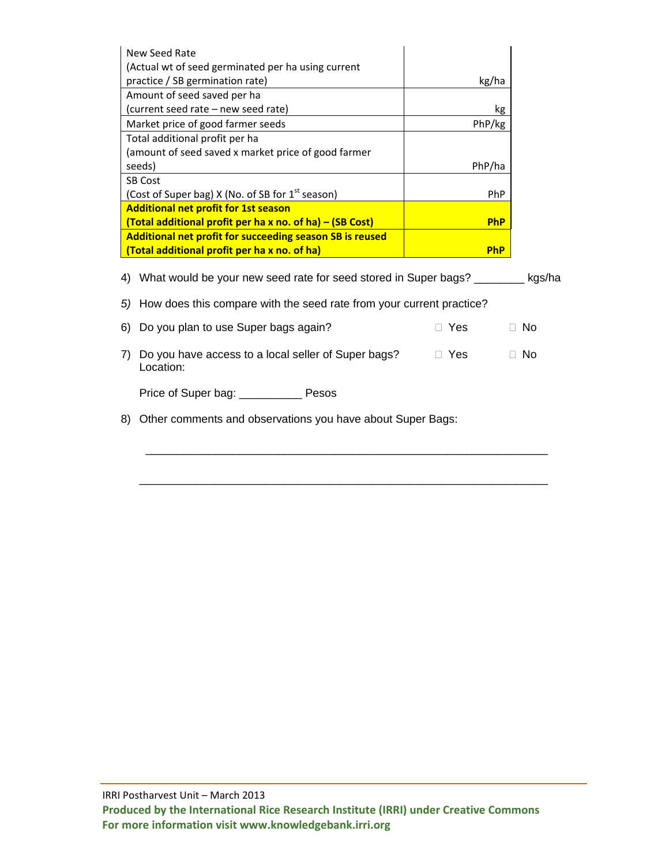| New Seed Rate<br>(Actual wt of seed germinated per ha using current     |            |        |
|-------------------------------------------------------------------------|------------|--------|
| practice / SB germination rate)                                         | kg/ha      |        |
| Amount of seed saved per ha                                             |            |        |
| (current seed rate - new seed rate)                                     | kg         |        |
| Market price of good farmer seeds                                       | PhP/kg     |        |
| Total additional profit per ha                                          |            |        |
| (amount of seed saved x market price of good farmer                     |            |        |
| seeds)                                                                  | PhP/ha     |        |
| <b>SB Cost</b>                                                          |            |        |
| (Cost of Super bag) X (No. of SB for $1st$ season)                      | <b>PhP</b> |        |
| <b>Additional net profit for 1st season</b>                             |            |        |
| (Total additional profit per ha x no. of ha) – (SB Cost)                | <b>PhP</b> |        |
| Additional net profit for succeeding season SB is reused                |            |        |
| (Total additional profit per ha x no. of ha)                            | <b>PhP</b> |        |
| What would be your new seed rate for seed stored in Super bags?<br>4)   |            | kgs/ha |
| 5) How does this compare with the seed rate from your current practice? |            |        |
| Do you plan to use Super bags again?<br>6)                              | Yes.       | Nο     |
|                                                                         |            |        |

7) Do you have access to a local seller of Super bags?  $\Box$  Yes  $\Box$  No Location:

\_\_\_\_\_\_\_\_\_\_\_\_\_\_\_\_\_\_\_\_\_\_\_\_\_\_\_\_\_\_\_\_\_\_\_\_\_\_\_\_\_\_\_\_\_\_\_\_\_\_\_\_\_\_\_\_\_\_\_\_\_\_\_\_

\_\_\_\_\_\_\_\_\_\_\_\_\_\_\_\_\_\_\_\_\_\_\_\_\_\_\_\_\_\_\_\_\_\_\_\_\_\_\_\_\_\_\_\_\_\_\_\_\_\_\_\_\_\_\_\_\_\_\_\_\_\_\_\_\_

| Price of Super bag: | Pesos |
|---------------------|-------|
|---------------------|-------|

8) Other comments and observations you have about Super Bags: